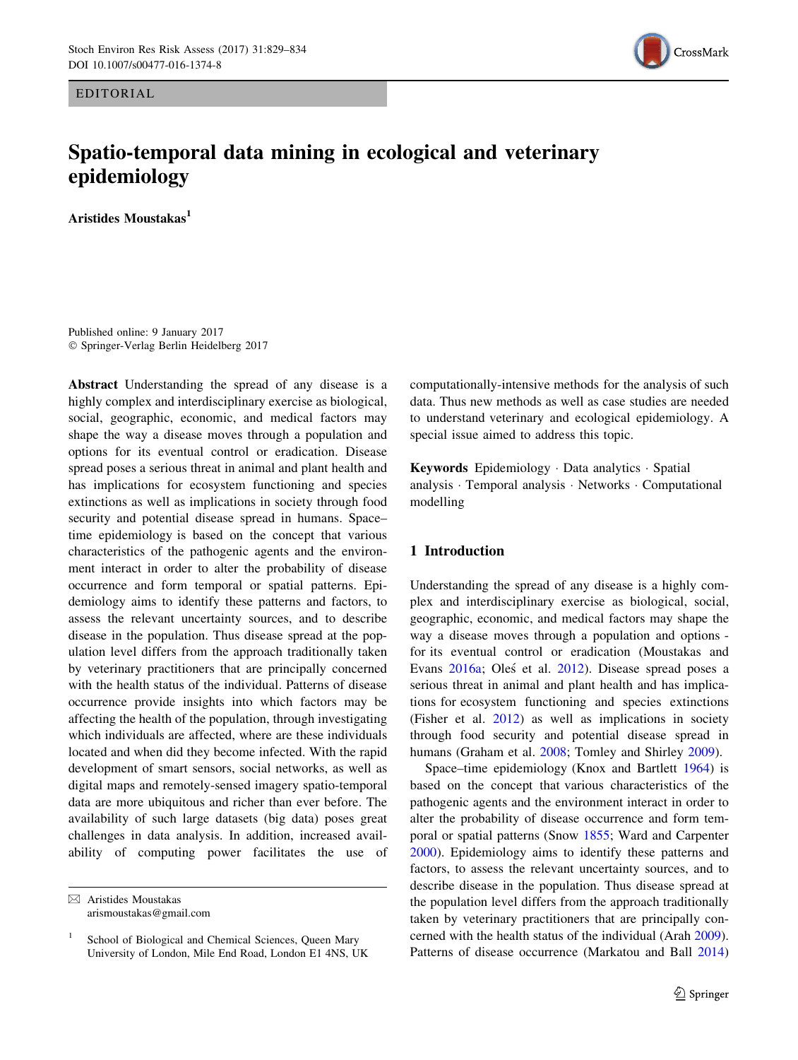EDITORIAL



# Spatio-temporal data mining in ecological and veterinary epidemiology

Aristides Moustakas<sup>1</sup>

Published online: 9 January 2017 - Springer-Verlag Berlin Heidelberg 2017

Abstract Understanding the spread of any disease is a highly complex and interdisciplinary exercise as biological, social, geographic, economic, and medical factors may shape the way a disease moves through a population and options for its eventual control or eradication. Disease spread poses a serious threat in animal and plant health and has implications for ecosystem functioning and species extinctions as well as implications in society through food security and potential disease spread in humans. Space– time epidemiology is based on the concept that various characteristics of the pathogenic agents and the environment interact in order to alter the probability of disease occurrence and form temporal or spatial patterns. Epidemiology aims to identify these patterns and factors, to assess the relevant uncertainty sources, and to describe disease in the population. Thus disease spread at the population level differs from the approach traditionally taken by veterinary practitioners that are principally concerned with the health status of the individual. Patterns of disease occurrence provide insights into which factors may be affecting the health of the population, through investigating which individuals are affected, where are these individuals located and when did they become infected. With the rapid development of smart sensors, social networks, as well as digital maps and remotely-sensed imagery spatio-temporal data are more ubiquitous and richer than ever before. The availability of such large datasets (big data) poses great challenges in data analysis. In addition, increased availability of computing power facilitates the use of

 $\boxtimes$  Aristides Moustakas arismoustakas@gmail.com computationally-intensive methods for the analysis of such data. Thus new methods as well as case studies are needed to understand veterinary and ecological epidemiology. A special issue aimed to address this topic.

Keywords Epidemiology - Data analytics - Spatial analysis - Temporal analysis - Networks - Computational modelling

## 1 Introduction

Understanding the spread of any disease is a highly complex and interdisciplinary exercise as biological, social, geographic, economic, and medical factors may shape the way a disease moves through a population and options for its eventual control or eradication (Moustakas and Evans [2016a;](#page-5-0) Oles´ et al. [2012](#page-5-0)). Disease spread poses a serious threat in animal and plant health and has implications for ecosystem functioning and species extinctions (Fisher et al. [2012](#page-4-0)) as well as implications in society through food security and potential disease spread in humans (Graham et al. [2008](#page-4-0); Tomley and Shirley [2009\)](#page-5-0).

Space–time epidemiology (Knox and Bartlett [1964\)](#page-4-0) is based on the concept that various characteristics of the pathogenic agents and the environment interact in order to alter the probability of disease occurrence and form temporal or spatial patterns (Snow [1855](#page-5-0); Ward and Carpenter [2000](#page-5-0)). Epidemiology aims to identify these patterns and factors, to assess the relevant uncertainty sources, and to describe disease in the population. Thus disease spread at the population level differs from the approach traditionally taken by veterinary practitioners that are principally concerned with the health status of the individual (Arah [2009](#page-4-0)). Patterns of disease occurrence (Markatou and Ball [2014\)](#page-5-0)

School of Biological and Chemical Sciences, Queen Mary University of London, Mile End Road, London E1 4NS, UK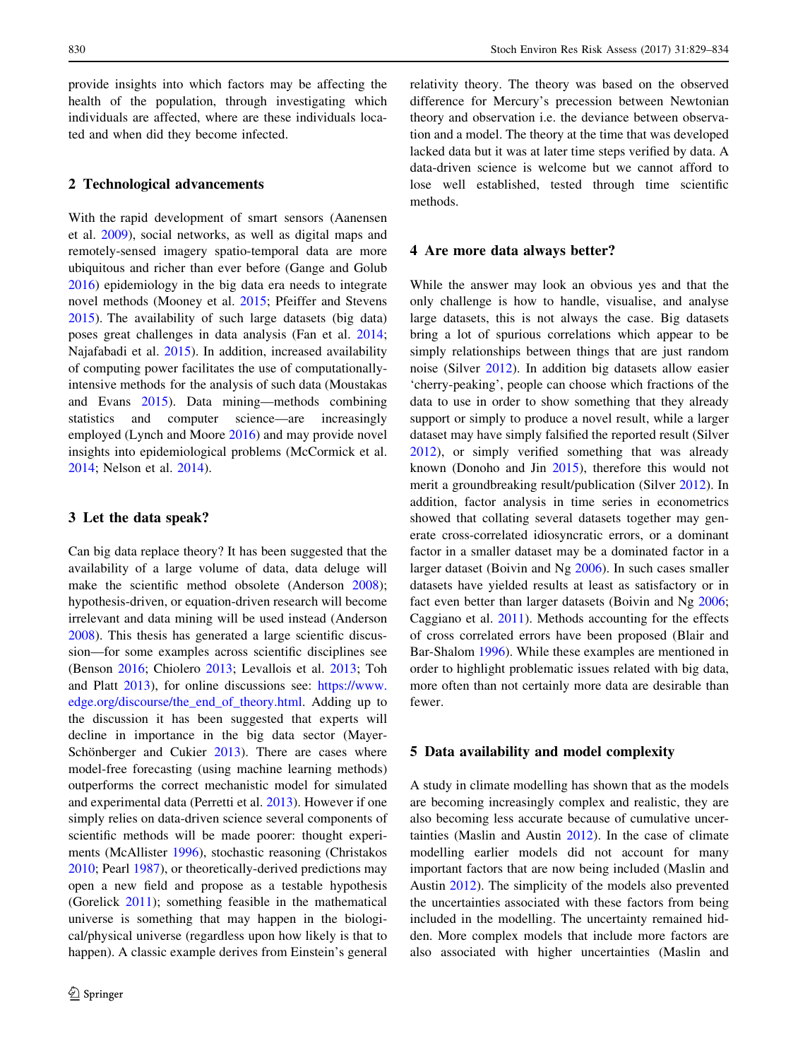provide insights into which factors may be affecting the health of the population, through investigating which individuals are affected, where are these individuals located and when did they become infected.

## 2 Technological advancements

With the rapid development of smart sensors (Aanensen et al. [2009\)](#page-4-0), social networks, as well as digital maps and remotely-sensed imagery spatio-temporal data are more ubiquitous and richer than ever before (Gange and Golub [2016\)](#page-4-0) epidemiology in the big data era needs to integrate novel methods (Mooney et al. [2015](#page-5-0); Pfeiffer and Stevens [2015\)](#page-5-0). The availability of such large datasets (big data) poses great challenges in data analysis (Fan et al. [2014](#page-4-0); Najafabadi et al. [2015\)](#page-5-0). In addition, increased availability of computing power facilitates the use of computationallyintensive methods for the analysis of such data (Moustakas and Evans [2015\)](#page-5-0). Data mining—methods combining statistics and computer science—are increasingly employed (Lynch and Moore [2016\)](#page-5-0) and may provide novel insights into epidemiological problems (McCormick et al. [2014;](#page-5-0) Nelson et al. [2014](#page-5-0)).

## 3 Let the data speak?

Can big data replace theory? It has been suggested that the availability of a large volume of data, data deluge will make the scientific method obsolete (Anderson [2008](#page-4-0)); hypothesis-driven, or equation-driven research will become irrelevant and data mining will be used instead (Anderson [2008\)](#page-4-0). This thesis has generated a large scientific discussion—for some examples across scientific disciplines see (Benson [2016](#page-4-0); Chiolero [2013;](#page-4-0) Levallois et al. [2013](#page-5-0); Toh and Platt [2013](#page-5-0)), for online discussions see: [https://www.](https://www.edge.org/discourse/the_end_of_theory.html) [edge.org/discourse/the\\_end\\_of\\_theory.html.](https://www.edge.org/discourse/the_end_of_theory.html) Adding up to the discussion it has been suggested that experts will decline in importance in the big data sector (Mayer-Schönberger and Cukier [2013\)](#page-5-0). There are cases where model-free forecasting (using machine learning methods) outperforms the correct mechanistic model for simulated and experimental data (Perretti et al. [2013\)](#page-5-0). However if one simply relies on data-driven science several components of scientific methods will be made poorer: thought experiments (McAllister [1996](#page-5-0)), stochastic reasoning (Christakos [2010;](#page-4-0) Pearl [1987](#page-5-0)), or theoretically-derived predictions may open a new field and propose as a testable hypothesis (Gorelick [2011\)](#page-4-0); something feasible in the mathematical universe is something that may happen in the biological/physical universe (regardless upon how likely is that to happen). A classic example derives from Einstein's general relativity theory. The theory was based on the observed difference for Mercury's precession between Newtonian theory and observation i.e. the deviance between observation and a model. The theory at the time that was developed lacked data but it was at later time steps verified by data. A data-driven science is welcome but we cannot afford to lose well established, tested through time scientific methods.

#### 4 Are more data always better?

While the answer may look an obvious yes and that the only challenge is how to handle, visualise, and analyse large datasets, this is not always the case. Big datasets bring a lot of spurious correlations which appear to be simply relationships between things that are just random noise (Silver [2012\)](#page-5-0). In addition big datasets allow easier 'cherry-peaking', people can choose which fractions of the data to use in order to show something that they already support or simply to produce a novel result, while a larger dataset may have simply falsified the reported result (Silver [2012](#page-5-0)), or simply verified something that was already known (Donoho and Jin [2015](#page-4-0)), therefore this would not merit a groundbreaking result/publication (Silver [2012](#page-5-0)). In addition, factor analysis in time series in econometrics showed that collating several datasets together may generate cross-correlated idiosyncratic errors, or a dominant factor in a smaller dataset may be a dominated factor in a larger dataset (Boivin and Ng [2006](#page-4-0)). In such cases smaller datasets have yielded results at least as satisfactory or in fact even better than larger datasets (Boivin and Ng [2006](#page-4-0); Caggiano et al. [2011\)](#page-4-0). Methods accounting for the effects of cross correlated errors have been proposed (Blair and Bar-Shalom [1996](#page-4-0)). While these examples are mentioned in order to highlight problematic issues related with big data, more often than not certainly more data are desirable than fewer.

#### 5 Data availability and model complexity

A study in climate modelling has shown that as the models are becoming increasingly complex and realistic, they are also becoming less accurate because of cumulative uncertainties (Maslin and Austin [2012\)](#page-5-0). In the case of climate modelling earlier models did not account for many important factors that are now being included (Maslin and Austin [2012\)](#page-5-0). The simplicity of the models also prevented the uncertainties associated with these factors from being included in the modelling. The uncertainty remained hidden. More complex models that include more factors are also associated with higher uncertainties (Maslin and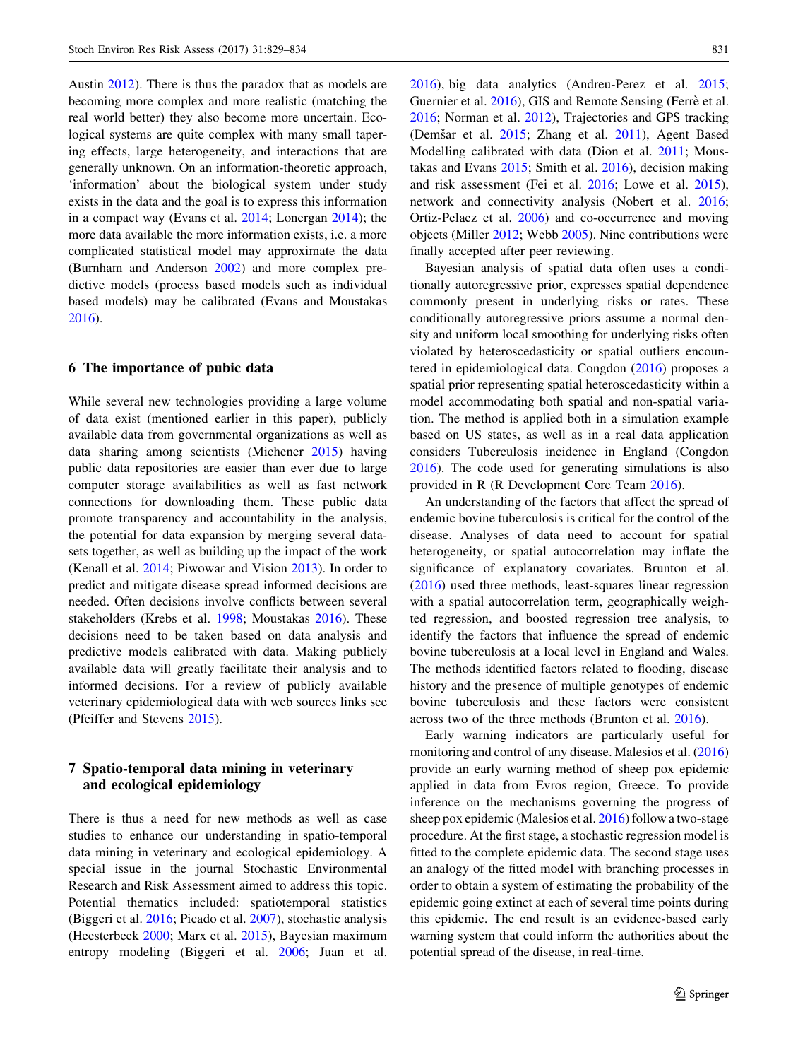Austin [2012\)](#page-5-0). There is thus the paradox that as models are becoming more complex and more realistic (matching the real world better) they also become more uncertain. Ecological systems are quite complex with many small tapering effects, large heterogeneity, and interactions that are generally unknown. On an information-theoretic approach, 'information' about the biological system under study exists in the data and the goal is to express this information in a compact way (Evans et al. [2014](#page-4-0); Lonergan [2014\)](#page-5-0); the more data available the more information exists, i.e. a more complicated statistical model may approximate the data (Burnham and Anderson [2002\)](#page-4-0) and more complex predictive models (process based models such as individual based models) may be calibrated (Evans and Moustakas [2016\)](#page-4-0).

## 6 The importance of pubic data

While several new technologies providing a large volume of data exist (mentioned earlier in this paper), publicly available data from governmental organizations as well as data sharing among scientists (Michener [2015\)](#page-5-0) having public data repositories are easier than ever due to large computer storage availabilities as well as fast network connections for downloading them. These public data promote transparency and accountability in the analysis, the potential for data expansion by merging several datasets together, as well as building up the impact of the work (Kenall et al. [2014;](#page-4-0) Piwowar and Vision [2013](#page-5-0)). In order to predict and mitigate disease spread informed decisions are needed. Often decisions involve conflicts between several stakeholders (Krebs et al. [1998](#page-4-0); Moustakas [2016](#page-5-0)). These decisions need to be taken based on data analysis and predictive models calibrated with data. Making publicly available data will greatly facilitate their analysis and to informed decisions. For a review of publicly available veterinary epidemiological data with web sources links see (Pfeiffer and Stevens [2015](#page-5-0)).

## 7 Spatio-temporal data mining in veterinary and ecological epidemiology

There is thus a need for new methods as well as case studies to enhance our understanding in spatio-temporal data mining in veterinary and ecological epidemiology. A special issue in the journal Stochastic Environmental Research and Risk Assessment aimed to address this topic. Potential thematics included: spatiotemporal statistics (Biggeri et al. [2016](#page-4-0); Picado et al. [2007](#page-5-0)), stochastic analysis (Heesterbeek [2000;](#page-4-0) Marx et al. [2015](#page-5-0)), Bayesian maximum entropy modeling (Biggeri et al. [2006](#page-4-0); Juan et al. [2016](#page-4-0)), big data analytics (Andreu-Perez et al. [2015](#page-4-0); Guernier et al. [2016](#page-4-0)), GIS and Remote Sensing (Ferrè et al. [2016](#page-4-0); Norman et al. [2012\)](#page-5-0), Trajectories and GPS tracking (Demšar et al. [2015](#page-4-0); Zhang et al. [2011](#page-5-0)), Agent Based Modelling calibrated with data (Dion et al. [2011](#page-4-0); Moustakas and Evans [2015](#page-5-0); Smith et al. [2016](#page-5-0)), decision making and risk assessment (Fei et al. [2016;](#page-4-0) Lowe et al. [2015](#page-5-0)), network and connectivity analysis (Nobert et al. [2016](#page-5-0); Ortiz-Pelaez et al. [2006\)](#page-5-0) and co-occurrence and moving objects (Miller [2012;](#page-5-0) Webb [2005](#page-5-0)). Nine contributions were finally accepted after peer reviewing.

Bayesian analysis of spatial data often uses a conditionally autoregressive prior, expresses spatial dependence commonly present in underlying risks or rates. These conditionally autoregressive priors assume a normal density and uniform local smoothing for underlying risks often violated by heteroscedasticity or spatial outliers encountered in epidemiological data. Congdon [\(2016](#page-4-0)) proposes a spatial prior representing spatial heteroscedasticity within a model accommodating both spatial and non-spatial variation. The method is applied both in a simulation example based on US states, as well as in a real data application considers Tuberculosis incidence in England (Congdon [2016](#page-4-0)). The code used for generating simulations is also provided in R (R Development Core Team [2016\)](#page-4-0).

An understanding of the factors that affect the spread of endemic bovine tuberculosis is critical for the control of the disease. Analyses of data need to account for spatial heterogeneity, or spatial autocorrelation may inflate the significance of explanatory covariates. Brunton et al. [\(2016](#page-4-0)) used three methods, least-squares linear regression with a spatial autocorrelation term, geographically weighted regression, and boosted regression tree analysis, to identify the factors that influence the spread of endemic bovine tuberculosis at a local level in England and Wales. The methods identified factors related to flooding, disease history and the presence of multiple genotypes of endemic bovine tuberculosis and these factors were consistent across two of the three methods (Brunton et al. [2016\)](#page-4-0).

Early warning indicators are particularly useful for monitoring and control of any disease. Malesios et al. ([2016\)](#page-5-0) provide an early warning method of sheep pox epidemic applied in data from Evros region, Greece. To provide inference on the mechanisms governing the progress of sheep pox epidemic (Malesios et al. [2016\)](#page-5-0) follow a two-stage procedure. At the first stage, a stochastic regression model is fitted to the complete epidemic data. The second stage uses an analogy of the fitted model with branching processes in order to obtain a system of estimating the probability of the epidemic going extinct at each of several time points during this epidemic. The end result is an evidence-based early warning system that could inform the authorities about the potential spread of the disease, in real-time.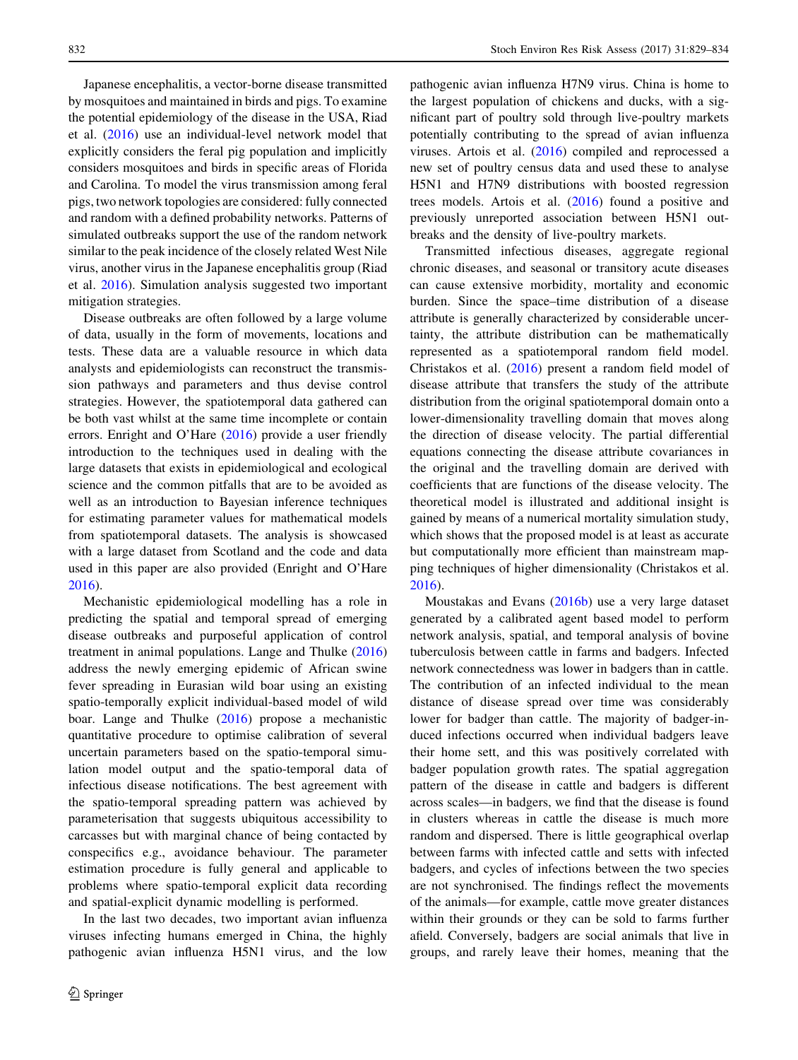Japanese encephalitis, a vector-borne disease transmitted by mosquitoes and maintained in birds and pigs. To examine the potential epidemiology of the disease in the USA, Riad et al. [\(2016](#page-5-0)) use an individual-level network model that explicitly considers the feral pig population and implicitly considers mosquitoes and birds in specific areas of Florida and Carolina. To model the virus transmission among feral pigs, two network topologies are considered: fully connected and random with a defined probability networks. Patterns of simulated outbreaks support the use of the random network similar to the peak incidence of the closely related West Nile virus, another virus in the Japanese encephalitis group (Riad et al. [2016](#page-5-0)). Simulation analysis suggested two important mitigation strategies.

Disease outbreaks are often followed by a large volume of data, usually in the form of movements, locations and tests. These data are a valuable resource in which data analysts and epidemiologists can reconstruct the transmission pathways and parameters and thus devise control strategies. However, the spatiotemporal data gathered can be both vast whilst at the same time incomplete or contain errors. Enright and O'Hare [\(2016\)](#page-4-0) provide a user friendly introduction to the techniques used in dealing with the large datasets that exists in epidemiological and ecological science and the common pitfalls that are to be avoided as well as an introduction to Bayesian inference techniques for estimating parameter values for mathematical models from spatiotemporal datasets. The analysis is showcased with a large dataset from Scotland and the code and data used in this paper are also provided (Enright and O'Hare [2016\)](#page-4-0).

Mechanistic epidemiological modelling has a role in predicting the spatial and temporal spread of emerging disease outbreaks and purposeful application of control treatment in animal populations. Lange and Thulke ([2016\)](#page-5-0) address the newly emerging epidemic of African swine fever spreading in Eurasian wild boar using an existing spatio-temporally explicit individual-based model of wild boar. Lange and Thulke ([2016\)](#page-5-0) propose a mechanistic quantitative procedure to optimise calibration of several uncertain parameters based on the spatio-temporal simulation model output and the spatio-temporal data of infectious disease notifications. The best agreement with the spatio-temporal spreading pattern was achieved by parameterisation that suggests ubiquitous accessibility to carcasses but with marginal chance of being contacted by conspecifics e.g., avoidance behaviour. The parameter estimation procedure is fully general and applicable to problems where spatio-temporal explicit data recording and spatial-explicit dynamic modelling is performed.

In the last two decades, two important avian influenza viruses infecting humans emerged in China, the highly pathogenic avian influenza H5N1 virus, and the low pathogenic avian influenza H7N9 virus. China is home to the largest population of chickens and ducks, with a significant part of poultry sold through live-poultry markets potentially contributing to the spread of avian influenza viruses. Artois et al. ([2016\)](#page-4-0) compiled and reprocessed a new set of poultry census data and used these to analyse H5N1 and H7N9 distributions with boosted regression trees models. Artois et al. ([2016\)](#page-4-0) found a positive and previously unreported association between H5N1 outbreaks and the density of live-poultry markets.

Transmitted infectious diseases, aggregate regional chronic diseases, and seasonal or transitory acute diseases can cause extensive morbidity, mortality and economic burden. Since the space–time distribution of a disease attribute is generally characterized by considerable uncertainty, the attribute distribution can be mathematically represented as a spatiotemporal random field model. Christakos et al. [\(2016](#page-4-0)) present a random field model of disease attribute that transfers the study of the attribute distribution from the original spatiotemporal domain onto a lower-dimensionality travelling domain that moves along the direction of disease velocity. The partial differential equations connecting the disease attribute covariances in the original and the travelling domain are derived with coefficients that are functions of the disease velocity. The theoretical model is illustrated and additional insight is gained by means of a numerical mortality simulation study, which shows that the proposed model is at least as accurate but computationally more efficient than mainstream mapping techniques of higher dimensionality (Christakos et al. [2016](#page-4-0)).

Moustakas and Evans [\(2016b\)](#page-5-0) use a very large dataset generated by a calibrated agent based model to perform network analysis, spatial, and temporal analysis of bovine tuberculosis between cattle in farms and badgers. Infected network connectedness was lower in badgers than in cattle. The contribution of an infected individual to the mean distance of disease spread over time was considerably lower for badger than cattle. The majority of badger-induced infections occurred when individual badgers leave their home sett, and this was positively correlated with badger population growth rates. The spatial aggregation pattern of the disease in cattle and badgers is different across scales—in badgers, we find that the disease is found in clusters whereas in cattle the disease is much more random and dispersed. There is little geographical overlap between farms with infected cattle and setts with infected badgers, and cycles of infections between the two species are not synchronised. The findings reflect the movements of the animals—for example, cattle move greater distances within their grounds or they can be sold to farms further afield. Conversely, badgers are social animals that live in groups, and rarely leave their homes, meaning that the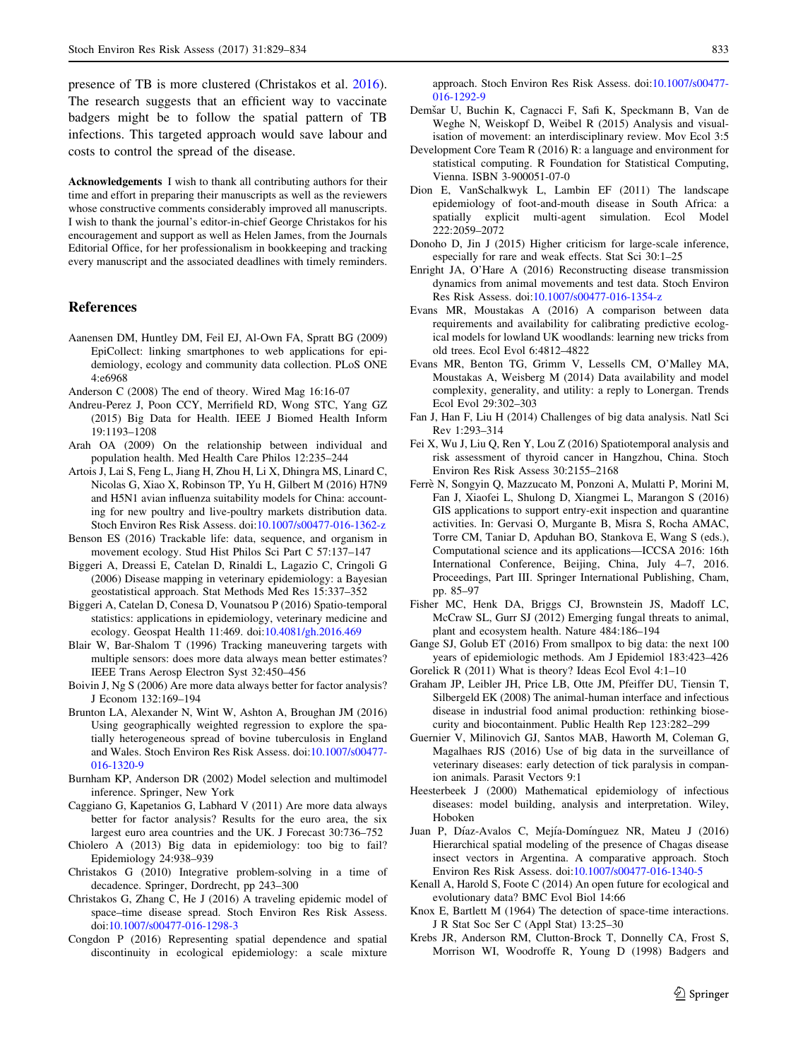<span id="page-4-0"></span>presence of TB is more clustered (Christakos et al. 2016). The research suggests that an efficient way to vaccinate badgers might be to follow the spatial pattern of TB infections. This targeted approach would save labour and costs to control the spread of the disease.

Acknowledgements I wish to thank all contributing authors for their time and effort in preparing their manuscripts as well as the reviewers whose constructive comments considerably improved all manuscripts. I wish to thank the journal's editor-in-chief George Christakos for his encouragement and support as well as Helen James, from the Journals Editorial Office, for her professionalism in bookkeeping and tracking every manuscript and the associated deadlines with timely reminders.

## References

- Aanensen DM, Huntley DM, Feil EJ, Al-Own FA, Spratt BG (2009) EpiCollect: linking smartphones to web applications for epidemiology, ecology and community data collection. PLoS ONE 4:e6968
- Anderson C (2008) The end of theory. Wired Mag 16:16-07
- Andreu-Perez J, Poon CCY, Merrifield RD, Wong STC, Yang GZ (2015) Big Data for Health. IEEE J Biomed Health Inform 19:1193–1208
- Arah OA (2009) On the relationship between individual and population health. Med Health Care Philos 12:235–244
- Artois J, Lai S, Feng L, Jiang H, Zhou H, Li X, Dhingra MS, Linard C, Nicolas G, Xiao X, Robinson TP, Yu H, Gilbert M (2016) H7N9 and H5N1 avian influenza suitability models for China: accounting for new poultry and live-poultry markets distribution data. Stoch Environ Res Risk Assess. doi:[10.1007/s00477-016-1362-z](http://dx.doi.org/10.1007/s00477-016-1362-z)
- Benson ES (2016) Trackable life: data, sequence, and organism in movement ecology. Stud Hist Philos Sci Part C 57:137–147
- Biggeri A, Dreassi E, Catelan D, Rinaldi L, Lagazio C, Cringoli G (2006) Disease mapping in veterinary epidemiology: a Bayesian geostatistical approach. Stat Methods Med Res 15:337–352
- Biggeri A, Catelan D, Conesa D, Vounatsou P (2016) Spatio-temporal statistics: applications in epidemiology, veterinary medicine and ecology. Geospat Health 11:469. doi:[10.4081/gh.2016.469](http://dx.doi.org/10.4081/gh.2016.469)
- Blair W, Bar-Shalom T (1996) Tracking maneuvering targets with multiple sensors: does more data always mean better estimates? IEEE Trans Aerosp Electron Syst 32:450–456
- Boivin J, Ng S (2006) Are more data always better for factor analysis? J Econom 132:169–194
- Brunton LA, Alexander N, Wint W, Ashton A, Broughan JM (2016) Using geographically weighted regression to explore the spatially heterogeneous spread of bovine tuberculosis in England and Wales. Stoch Environ Res Risk Assess. doi:[10.1007/s00477-](http://dx.doi.org/10.1007/s00477-016-1320-9) [016-1320-9](http://dx.doi.org/10.1007/s00477-016-1320-9)
- Burnham KP, Anderson DR (2002) Model selection and multimodel inference. Springer, New York
- Caggiano G, Kapetanios G, Labhard V (2011) Are more data always better for factor analysis? Results for the euro area, the six largest euro area countries and the UK. J Forecast 30:736–752
- Chiolero A (2013) Big data in epidemiology: too big to fail? Epidemiology 24:938–939
- Christakos G (2010) Integrative problem-solving in a time of decadence. Springer, Dordrecht, pp 243–300
- Christakos G, Zhang C, He J (2016) A traveling epidemic model of space–time disease spread. Stoch Environ Res Risk Assess. doi[:10.1007/s00477-016-1298-3](http://dx.doi.org/10.1007/s00477-016-1298-3)
- Congdon P (2016) Representing spatial dependence and spatial discontinuity in ecological epidemiology: a scale mixture

approach. Stoch Environ Res Risk Assess. doi[:10.1007/s00477-](http://dx.doi.org/10.1007/s00477-016-1292-9) [016-1292-9](http://dx.doi.org/10.1007/s00477-016-1292-9)

- Demšar U, Buchin K, Cagnacci F, Safi K, Speckmann B, Van de Weghe N, Weiskopf D, Weibel R (2015) Analysis and visualisation of movement: an interdisciplinary review. Mov Ecol 3:5
- Development Core Team R (2016) R: a language and environment for statistical computing. R Foundation for Statistical Computing, Vienna. ISBN 3-900051-07-0
- Dion E, VanSchalkwyk L, Lambin EF (2011) The landscape epidemiology of foot-and-mouth disease in South Africa: a spatially explicit multi-agent simulation. Ecol Model 222:2059–2072
- Donoho D, Jin J (2015) Higher criticism for large-scale inference, especially for rare and weak effects. Stat Sci 30:1–25
- Enright JA, O'Hare A (2016) Reconstructing disease transmission dynamics from animal movements and test data. Stoch Environ Res Risk Assess. doi[:10.1007/s00477-016-1354-z](http://dx.doi.org/10.1007/s00477-016-1354-z)
- Evans MR, Moustakas A (2016) A comparison between data requirements and availability for calibrating predictive ecological models for lowland UK woodlands: learning new tricks from old trees. Ecol Evol 6:4812–4822
- Evans MR, Benton TG, Grimm V, Lessells CM, O'Malley MA, Moustakas A, Weisberg M (2014) Data availability and model complexity, generality, and utility: a reply to Lonergan. Trends Ecol Evol 29:302–303
- Fan J, Han F, Liu H (2014) Challenges of big data analysis. Natl Sci Rev 1:293–314
- Fei X, Wu J, Liu Q, Ren Y, Lou Z (2016) Spatiotemporal analysis and risk assessment of thyroid cancer in Hangzhou, China. Stoch Environ Res Risk Assess 30:2155–2168
- Ferrè N, Songyin Q, Mazzucato M, Ponzoni A, Mulatti P, Morini M, Fan J, Xiaofei L, Shulong D, Xiangmei L, Marangon S (2016) GIS applications to support entry-exit inspection and quarantine activities. In: Gervasi O, Murgante B, Misra S, Rocha AMAC, Torre CM, Taniar D, Apduhan BO, Stankova E, Wang S (eds.), Computational science and its applications—ICCSA 2016: 16th International Conference, Beijing, China, July 4–7, 2016. Proceedings, Part III. Springer International Publishing, Cham, pp. 85–97
- Fisher MC, Henk DA, Briggs CJ, Brownstein JS, Madoff LC, McCraw SL, Gurr SJ (2012) Emerging fungal threats to animal, plant and ecosystem health. Nature 484:186–194
- Gange SJ, Golub ET (2016) From smallpox to big data: the next 100 years of epidemiologic methods. Am J Epidemiol 183:423–426 Gorelick R (2011) What is theory? Ideas Ecol Evol 4:1–10
- Graham JP, Leibler JH, Price LB, Otte JM, Pfeiffer DU, Tiensin T, Silbergeld EK (2008) The animal-human interface and infectious disease in industrial food animal production: rethinking biosecurity and biocontainment. Public Health Rep 123:282–299
- Guernier V, Milinovich GJ, Santos MAB, Haworth M, Coleman G, Magalhaes RJS (2016) Use of big data in the surveillance of veterinary diseases: early detection of tick paralysis in companion animals. Parasit Vectors 9:1
- Heesterbeek J (2000) Mathematical epidemiology of infectious diseases: model building, analysis and interpretation. Wiley, Hoboken
- Juan P, Díaz-Avalos C, Mejía-Domínguez NR, Mateu J (2016) Hierarchical spatial modeling of the presence of Chagas disease insect vectors in Argentina. A comparative approach. Stoch Environ Res Risk Assess. doi[:10.1007/s00477-016-1340-5](http://dx.doi.org/10.1007/s00477-016-1340-5)
- Kenall A, Harold S, Foote C (2014) An open future for ecological and evolutionary data? BMC Evol Biol 14:66
- Knox E, Bartlett M (1964) The detection of space-time interactions. J R Stat Soc Ser C (Appl Stat) 13:25–30
- Krebs JR, Anderson RM, Clutton-Brock T, Donnelly CA, Frost S, Morrison WI, Woodroffe R, Young D (1998) Badgers and